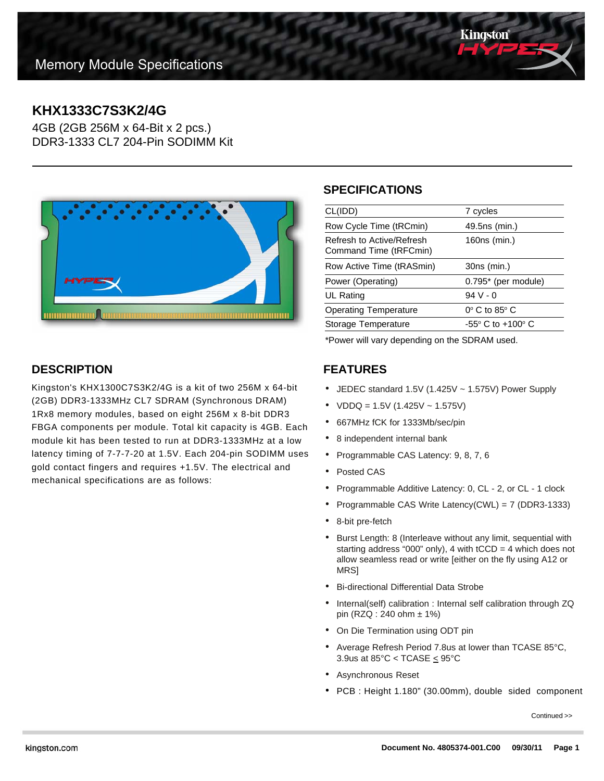

# **KHX1333C7S3K2/4G**

4GB (2GB 256M x 64-Bit x 2 pcs.) DDR3-1333 CL7 204-Pin SODIMM Kit



## **SPECIFICATIONS**

| CL(IDD)                                             | 7 cycles                        |
|-----------------------------------------------------|---------------------------------|
| Row Cycle Time (tRCmin)                             | 49.5ns (min.)                   |
| Refresh to Active/Refresh<br>Command Time (tRFCmin) | 160ns (min.)                    |
| Row Active Time (tRASmin)                           | 30ns (min.)                     |
| Power (Operating)                                   | $0.795*$ (per module)           |
| UL Rating                                           | $94V - 0$                       |
| <b>Operating Temperature</b>                        | $0^\circ$ C to 85 $^\circ$ C    |
| Storage Temperature                                 | $-55^\circ$ C to $+100^\circ$ C |
|                                                     |                                 |

\*Power will vary depending on the SDRAM used.

### **FEATURES**

- JEDEC standard 1.5V (1.425V ~ 1.575V) Power Supply
- $VDDQ = 1.5V (1.425V 1.575V)$
- 667MHz fCK for 1333Mb/sec/pin
- 8 independent internal bank
- Programmable CAS Latency: 9, 8, 7, 6
- Posted CAS
- Programmable Additive Latency: 0, CL 2, or CL 1 clock
- Programmable CAS Write Latency(CWL) = 7 (DDR3-1333)
- 8-bit pre-fetch
- Burst Length: 8 (Interleave without any limit, sequential with starting address "000" only), 4 with  $tCCD = 4$  which does not allow seamless read or write [either on the fly using A12 or MRS]
- Bi-directional Differential Data Strobe
- Internal(self) calibration : Internal self calibration through ZQ pin (RZQ : 240 ohm ± 1%)
- On Die Termination using ODT pin
- Average Refresh Period 7.8us at lower than TCASE 85°C, 3.9us at 85°C < TCASE < 95°C
- Asynchronous Reset
- PCB : Height 1.180" (30.00mm), double sided component

Continued >>

**DESCRIPTION**

Kingston's KHX1300C7S3K2/4G is a kit of two 256M x 64-bit (2GB) DDR3-1333MHz CL7 SDRAM (Synchronous DRAM) 1Rx8 memory modules, based on eight 256M x 8-bit DDR3 FBGA components per module. Total kit capacity is 4GB. Each module kit has been tested to run at DDR3-1333MHz at a low latency timing of 7-7-7-20 at 1.5V. Each 204-pin SODIMM uses gold contact fingers and requires +1.5V. The electrical and mechanical specifications are as follows: